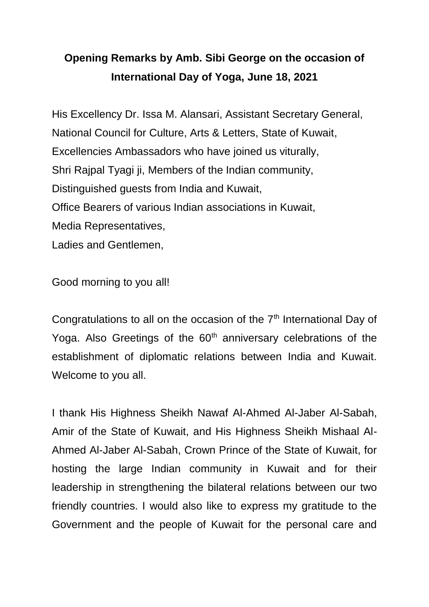## **Opening Remarks by Amb. Sibi George on the occasion of International Day of Yoga, June 18, 2021**

His Excellency Dr. Issa M. Alansari, Assistant Secretary General, National Council for Culture, Arts & Letters, State of Kuwait, Excellencies Ambassadors who have joined us viturally, Shri Rajpal Tyagi ji, Members of the Indian community, Distinguished guests from India and Kuwait, Office Bearers of various Indian associations in Kuwait, Media Representatives, Ladies and Gentlemen,

Good morning to you all!

Congratulations to all on the occasion of the 7<sup>th</sup> International Day of Yoga. Also Greetings of the  $60<sup>th</sup>$  anniversary celebrations of the establishment of diplomatic relations between India and Kuwait. Welcome to you all.

I thank His Highness Sheikh Nawaf Al-Ahmed Al-Jaber Al-Sabah, Amir of the State of Kuwait, and His Highness Sheikh Mishaal Al-Ahmed Al-Jaber Al-Sabah, Crown Prince of the State of Kuwait, for hosting the large Indian community in Kuwait and for their leadership in strengthening the bilateral relations between our two friendly countries. I would also like to express my gratitude to the Government and the people of Kuwait for the personal care and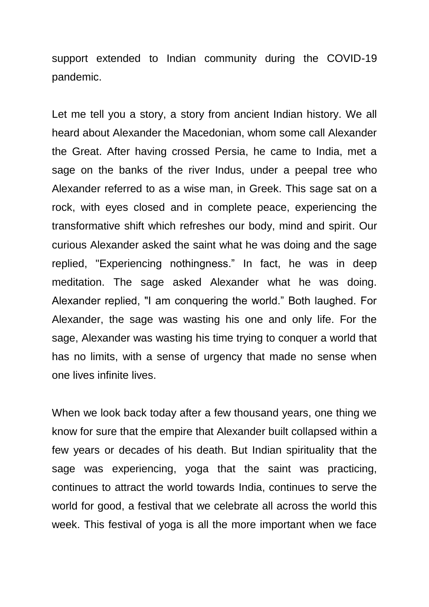support extended to Indian community during the COVID-19 pandemic.

Let me tell you a story, a story from ancient Indian history. We all heard about Alexander the Macedonian, whom some call Alexander the Great. After having crossed Persia, he came to India, met a sage on the banks of the river Indus, under a peepal tree who Alexander referred to as a wise man, in Greek. This sage sat on a rock, with eyes closed and in complete peace, experiencing the transformative shift which refreshes our body, mind and spirit. Our curious Alexander asked the saint what he was doing and the sage replied, "Experiencing nothingness." In fact, he was in deep meditation. The sage asked Alexander what he was doing. Alexander replied, "I am conquering the world." Both laughed. For Alexander, the sage was wasting his one and only life. For the sage, Alexander was wasting his time trying to conquer a world that has no limits, with a sense of urgency that made no sense when one lives infinite lives.

When we look back today after a few thousand years, one thing we know for sure that the empire that Alexander built collapsed within a few years or decades of his death. But Indian spirituality that the sage was experiencing, yoga that the saint was practicing, continues to attract the world towards India, continues to serve the world for good, a festival that we celebrate all across the world this week. This festival of yoga is all the more important when we face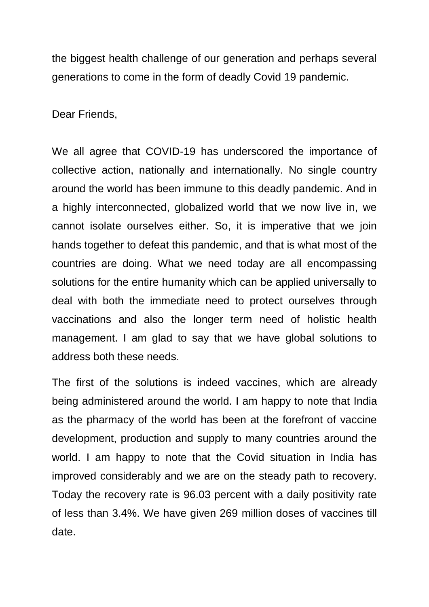the biggest health challenge of our generation and perhaps several generations to come in the form of deadly Covid 19 pandemic.

Dear Friends,

We all agree that COVID-19 has underscored the importance of collective action, nationally and internationally. No single country around the world has been immune to this deadly pandemic. And in a highly interconnected, globalized world that we now live in, we cannot isolate ourselves either. So, it is imperative that we join hands together to defeat this pandemic, and that is what most of the countries are doing. What we need today are all encompassing solutions for the entire humanity which can be applied universally to deal with both the immediate need to protect ourselves through vaccinations and also the longer term need of holistic health management. I am glad to say that we have global solutions to address both these needs.

The first of the solutions is indeed vaccines, which are already being administered around the world. I am happy to note that India as the pharmacy of the world has been at the forefront of vaccine development, production and supply to many countries around the world. I am happy to note that the Covid situation in India has improved considerably and we are on the steady path to recovery. Today the recovery rate is 96.03 percent with a daily positivity rate of less than 3.4%. We have given 269 million doses of vaccines till date.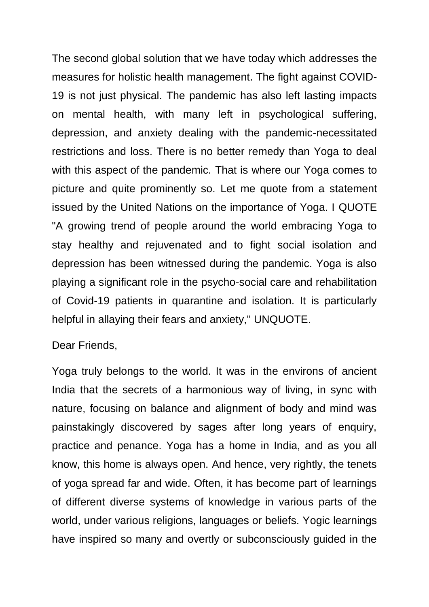The second global solution that we have today which addresses the measures for holistic health management. The fight against COVID-19 is not just physical. The pandemic has also left lasting impacts on mental health, with many left in psychological suffering, depression, and anxiety dealing with the pandemic-necessitated restrictions and loss. There is no better remedy than Yoga to deal with this aspect of the pandemic. That is where our Yoga comes to picture and quite prominently so. Let me quote from a statement issued by the United Nations on the importance of Yoga. I QUOTE "A growing trend of people around the world embracing Yoga to stay healthy and rejuvenated and to fight social isolation and depression has been witnessed during the pandemic. Yoga is also playing a significant role in the psycho-social care and rehabilitation of Covid-19 patients in quarantine and isolation. It is particularly helpful in allaying their fears and anxiety," UNQUOTE.

## Dear Friends,

Yoga truly belongs to the world. It was in the environs of ancient India that the secrets of a harmonious way of living, in sync with nature, focusing on balance and alignment of body and mind was painstakingly discovered by sages after long years of enquiry, practice and penance. Yoga has a home in India, and as you all know, this home is always open. And hence, very rightly, the tenets of yoga spread far and wide. Often, it has become part of learnings of different diverse systems of knowledge in various parts of the world, under various religions, languages or beliefs. Yogic learnings have inspired so many and overtly or subconsciously guided in the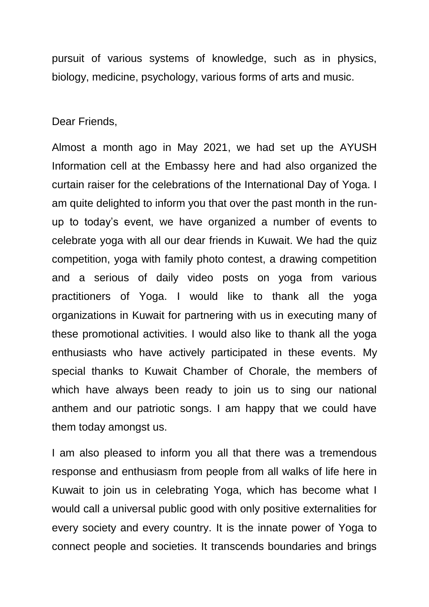pursuit of various systems of knowledge, such as in physics, biology, medicine, psychology, various forms of arts and music.

Dear Friends,

Almost a month ago in May 2021, we had set up the AYUSH Information cell at the Embassy here and had also organized the curtain raiser for the celebrations of the International Day of Yoga. I am quite delighted to inform you that over the past month in the runup to today's event, we have organized a number of events to celebrate yoga with all our dear friends in Kuwait. We had the quiz competition, yoga with family photo contest, a drawing competition and a serious of daily video posts on yoga from various practitioners of Yoga. I would like to thank all the yoga organizations in Kuwait for partnering with us in executing many of these promotional activities. I would also like to thank all the yoga enthusiasts who have actively participated in these events. My special thanks to Kuwait Chamber of Chorale, the members of which have always been ready to join us to sing our national anthem and our patriotic songs. I am happy that we could have them today amongst us.

I am also pleased to inform you all that there was a tremendous response and enthusiasm from people from all walks of life here in Kuwait to join us in celebrating Yoga, which has become what I would call a universal public good with only positive externalities for every society and every country. It is the innate power of Yoga to connect people and societies. It transcends boundaries and brings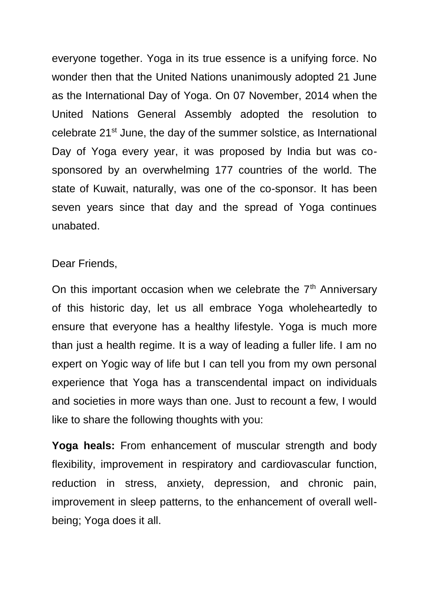everyone together. Yoga in its true essence is a unifying force. No wonder then that the United Nations unanimously adopted 21 June as the International Day of Yoga. On 07 November, 2014 when the United Nations General Assembly adopted the resolution to celebrate 21<sup>st</sup> June, the day of the summer solstice, as International Day of Yoga every year, it was proposed by India but was cosponsored by an overwhelming 177 countries of the world. The state of Kuwait, naturally, was one of the co-sponsor. It has been seven years since that day and the spread of Yoga continues unabated.

## Dear Friends,

On this important occasion when we celebrate the  $7<sup>th</sup>$  Anniversary of this historic day, let us all embrace Yoga wholeheartedly to ensure that everyone has a healthy lifestyle. Yoga is much more than just a health regime. It is a way of leading a fuller life. I am no expert on Yogic way of life but I can tell you from my own personal experience that Yoga has a transcendental impact on individuals and societies in more ways than one. Just to recount a few, I would like to share the following thoughts with you:

**Yoga heals:** From enhancement of muscular strength and body flexibility, improvement in respiratory and cardiovascular function, reduction in stress, anxiety, depression, and chronic pain, improvement in sleep patterns, to the enhancement of overall wellbeing; Yoga does it all.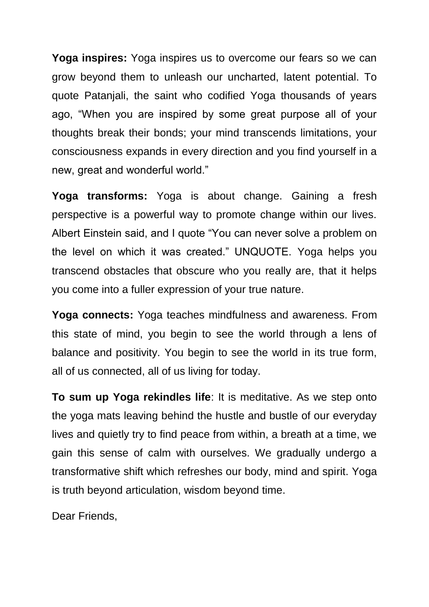**Yoga inspires:** Yoga inspires us to overcome our fears so we can grow beyond them to unleash our uncharted, latent potential. To quote Patanjali, the saint who codified Yoga thousands of years ago, "When you are inspired by some great purpose all of your thoughts break their bonds; your mind transcends limitations, your consciousness expands in every direction and you find yourself in a new, great and wonderful world."

**Yoga transforms:** Yoga is about change. Gaining a fresh perspective is a powerful way to promote change within our lives. Albert Einstein said, and I quote "You can never solve a problem on the level on which it was created." UNQUOTE. Yoga helps you transcend obstacles that obscure who you really are, that it helps you come into a fuller expression of your true nature.

**Yoga connects:** Yoga teaches mindfulness and awareness. From this state of mind, you begin to see the world through a lens of balance and positivity. You begin to see the world in its true form, all of us connected, all of us living for today.

**To sum up Yoga rekindles life**: It is meditative. As we step onto the yoga mats leaving behind the hustle and bustle of our everyday lives and quietly try to find peace from within, a breath at a time, we gain this sense of calm with ourselves. We gradually undergo a transformative shift which refreshes our body, mind and spirit. Yoga is truth beyond articulation, wisdom beyond time.

Dear Friends,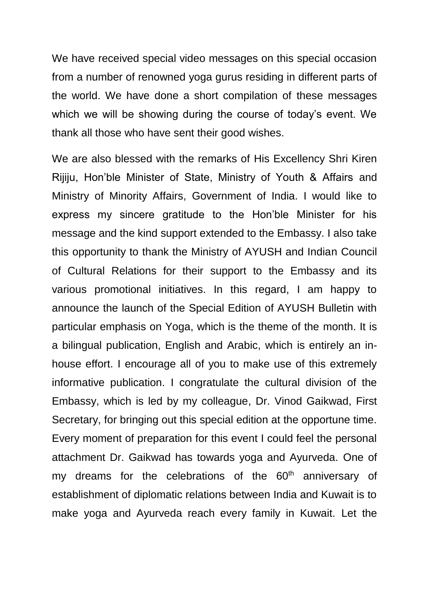We have received special video messages on this special occasion from a number of renowned yoga gurus residing in different parts of the world. We have done a short compilation of these messages which we will be showing during the course of today's event. We thank all those who have sent their good wishes.

We are also blessed with the remarks of His Excellency Shri Kiren Rijiju, Hon'ble Minister of State, Ministry of Youth & Affairs and Ministry of Minority Affairs, Government of India. I would like to express my sincere gratitude to the Hon'ble Minister for his message and the kind support extended to the Embassy. I also take this opportunity to thank the Ministry of AYUSH and Indian Council of Cultural Relations for their support to the Embassy and its various promotional initiatives. In this regard, I am happy to announce the launch of the Special Edition of AYUSH Bulletin with particular emphasis on Yoga, which is the theme of the month. It is a bilingual publication, English and Arabic, which is entirely an inhouse effort. I encourage all of you to make use of this extremely informative publication. I congratulate the cultural division of the Embassy, which is led by my colleague, Dr. Vinod Gaikwad, First Secretary, for bringing out this special edition at the opportune time. Every moment of preparation for this event I could feel the personal attachment Dr. Gaikwad has towards yoga and Ayurveda. One of my dreams for the celebrations of the 60<sup>th</sup> anniversary of establishment of diplomatic relations between India and Kuwait is to make yoga and Ayurveda reach every family in Kuwait. Let the